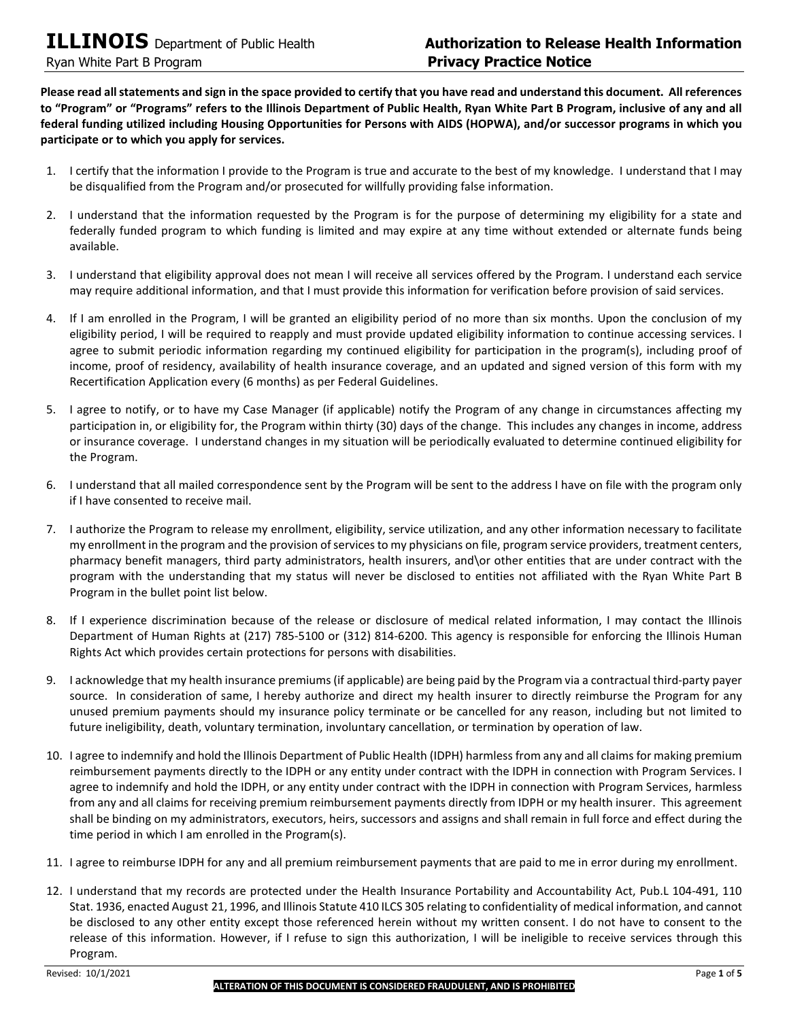**Please read all statements and sign in the space provided to certify that you have read and understand this document. All references to "Program" or "Programs" refers to the Illinois Department of Public Health, Ryan White Part B Program, inclusive of any and all federal funding utilized including Housing Opportunities for Persons with AIDS (HOPWA), and/or successor programs in which you participate or to which you apply for services.** 

- 1. I certify that the information I provide to the Program is true and accurate to the best of my knowledge. I understand that I may be disqualified from the Program and/or prosecuted for willfully providing false information.
- 2. I understand that the information requested by the Program is for the purpose of determining my eligibility for a state and federally funded program to which funding is limited and may expire at any time without extended or alternate funds being available.
- 3. I understand that eligibility approval does not mean I will receive all services offered by the Program. I understand each service may require additional information, and that I must provide this information for verification before provision of said services.
- 4. If I am enrolled in the Program, I will be granted an eligibility period of no more than six months. Upon the conclusion of my eligibility period, I will be required to reapply and must provide updated eligibility information to continue accessing services. I agree to submit periodic information regarding my continued eligibility for participation in the program(s), including proof of income, proof of residency, availability of health insurance coverage, and an updated and signed version of this form with my Recertification Application every (6 months) as per Federal Guidelines.
- 5. I agree to notify, or to have my Case Manager (if applicable) notify the Program of any change in circumstances affecting my participation in, or eligibility for, the Program within thirty (30) days of the change. This includes any changes in income, address or insurance coverage. I understand changes in my situation will be periodically evaluated to determine continued eligibility for the Program.
- 6. I understand that all mailed correspondence sent by the Program will be sent to the address I have on file with the program only if I have consented to receive mail.
- 7. I authorize the Program to release my enrollment, eligibility, service utilization, and any other information necessary to facilitate my enrollment in the program and the provision of services to my physicians on file, program service providers, treatment centers, pharmacy benefit managers, third party administrators, health insurers, and\or other entities that are under contract with the program with the understanding that my status will never be disclosed to entities not affiliated with the Ryan White Part B Program in the bullet point list below.
- 8. If I experience discrimination because of the release or disclosure of medical related information, I may contact the Illinois Department of Human Rights at (217) 785-5100 or (312) 814-6200. This agency is responsible for enforcing the Illinois Human Rights Act which provides certain protections for persons with disabilities.
- 9. I acknowledge that my health insurance premiums (if applicable) are being paid by the Program via a contractual third-party payer source. In consideration of same, I hereby authorize and direct my health insurer to directly reimburse the Program for any unused premium payments should my insurance policy terminate or be cancelled for any reason, including but not limited to future ineligibility, death, voluntary termination, involuntary cancellation, or termination by operation of law.
- 10. I agree to indemnify and hold the Illinois Department of Public Health (IDPH) harmless from any and all claims for making premium reimbursement payments directly to the IDPH or any entity under contract with the IDPH in connection with Program Services. I agree to indemnify and hold the IDPH, or any entity under contract with the IDPH in connection with Program Services, harmless from any and all claims for receiving premium reimbursement payments directly from IDPH or my health insurer. This agreement shall be binding on my administrators, executors, heirs, successors and assigns and shall remain in full force and effect during the time period in which I am enrolled in the Program(s).
- 11. I agree to reimburse IDPH for any and all premium reimbursement payments that are paid to me in error during my enrollment.
- 12. I understand that my records are protected under the Health Insurance Portability and Accountability Act, Pub.L 104-491, 110 Stat. 1936, enacted August 21, 1996, and Illinois Statute 410 ILCS 305 relating to confidentiality of medical information, and cannot be disclosed to any other entity except those referenced herein without my written consent. I do not have to consent to the release of this information. However, if I refuse to sign this authorization, I will be ineligible to receive services through this Program.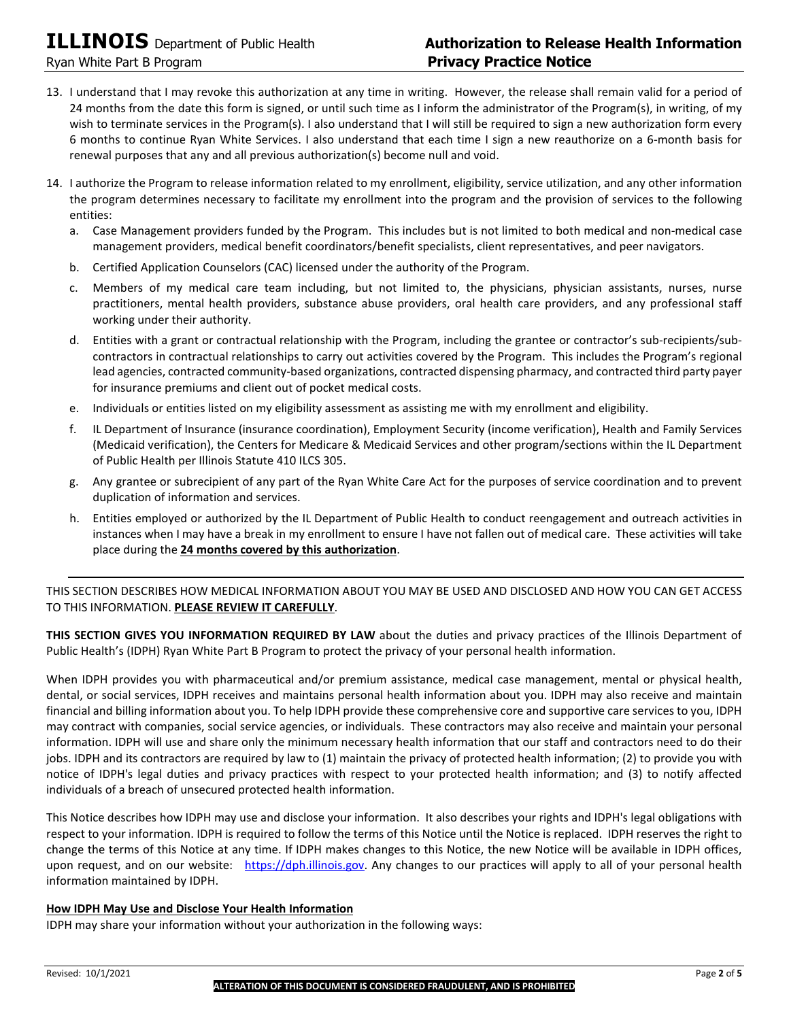- 13. I understand that I may revoke this authorization at any time in writing. However, the release shall remain valid for a period of 24 months from the date this form is signed, or until such time as I inform the administrator of the Program(s), in writing, of my wish to terminate services in the Program(s). I also understand that I will still be required to sign a new authorization form every 6 months to continue Ryan White Services. I also understand that each time I sign a new reauthorize on a 6-month basis for renewal purposes that any and all previous authorization(s) become null and void.
- 14. I authorize the Program to release information related to my enrollment, eligibility, service utilization, and any other information the program determines necessary to facilitate my enrollment into the program and the provision of services to the following entities:
	- a. Case Management providers funded by the Program. This includes but is not limited to both medical and non-medical case management providers, medical benefit coordinators/benefit specialists, client representatives, and peer navigators.
	- b. Certified Application Counselors (CAC) licensed under the authority of the Program.
	- c. Members of my medical care team including, but not limited to, the physicians, physician assistants, nurses, nurse practitioners, mental health providers, substance abuse providers, oral health care providers, and any professional staff working under their authority.
	- d. Entities with a grant or contractual relationship with the Program, including the grantee or contractor's sub-recipients/subcontractors in contractual relationships to carry out activities covered by the Program. This includes the Program's regional lead agencies, contracted community-based organizations, contracted dispensing pharmacy, and contracted third party payer for insurance premiums and client out of pocket medical costs.
	- e. Individuals or entities listed on my eligibility assessment as assisting me with my enrollment and eligibility.
	- f. IL Department of Insurance (insurance coordination), Employment Security (income verification), Health and Family Services (Medicaid verification), the Centers for Medicare & Medicaid Services and other program/sections within the IL Department of Public Health per Illinois Statute 410 ILCS 305.
	- g. Any grantee or subrecipient of any part of the Ryan White Care Act for the purposes of service coordination and to prevent duplication of information and services.
	- h. Entities employed or authorized by the IL Department of Public Health to conduct reengagement and outreach activities in instances when I may have a break in my enrollment to ensure I have not fallen out of medical care. These activities will take place during the **24 months covered by this authorization**.

THIS SECTION DESCRIBES HOW MEDICAL INFORMATION ABOUT YOU MAY BE USED AND DISCLOSED AND HOW YOU CAN GET ACCESS TO THIS INFORMATION. **PLEASE REVIEW IT CAREFULLY**.

**THIS SECTION GIVES YOU INFORMATION REQUIRED BY LAW** about the duties and privacy practices of the Illinois Department of Public Health's (IDPH) Ryan White Part B Program to protect the privacy of your personal health information.

When IDPH provides you with pharmaceutical and/or premium assistance, medical case management, mental or physical health, dental, or social services, IDPH receives and maintains personal health information about you. IDPH may also receive and maintain financial and billing information about you. To help IDPH provide these comprehensive core and supportive care services to you, IDPH may contract with companies, social service agencies, or individuals. These contractors may also receive and maintain your personal information. IDPH will use and share only the minimum necessary health information that our staff and contractors need to do their jobs. IDPH and its contractors are required by law to (1) maintain the privacy of protected health information; (2) to provide you with notice of IDPH's legal duties and privacy practices with respect to your protected health information; and (3) to notify affected individuals of a breach of unsecured protected health information.

This Notice describes how IDPH may use and disclose your information. It also describes your rights and IDPH's legal obligations with respect to your information. IDPH is required to follow the terms of this Notice until the Notice is replaced. IDPH reserves the right to change the terms of this Notice at any time. If IDPH makes changes to this Notice, the new Notice will be available in IDPH offices, upon request, and on our website: [https://dph.illinois.gov.](https://iladap.providecm.net/Content/docs/PrivacyPractice.pdf) Any changes to our practices will apply to all of your personal health information maintained by IDPH.

# **How IDPH May Use and Disclose Your Health Information**

IDPH may share your information without your authorization in the following ways: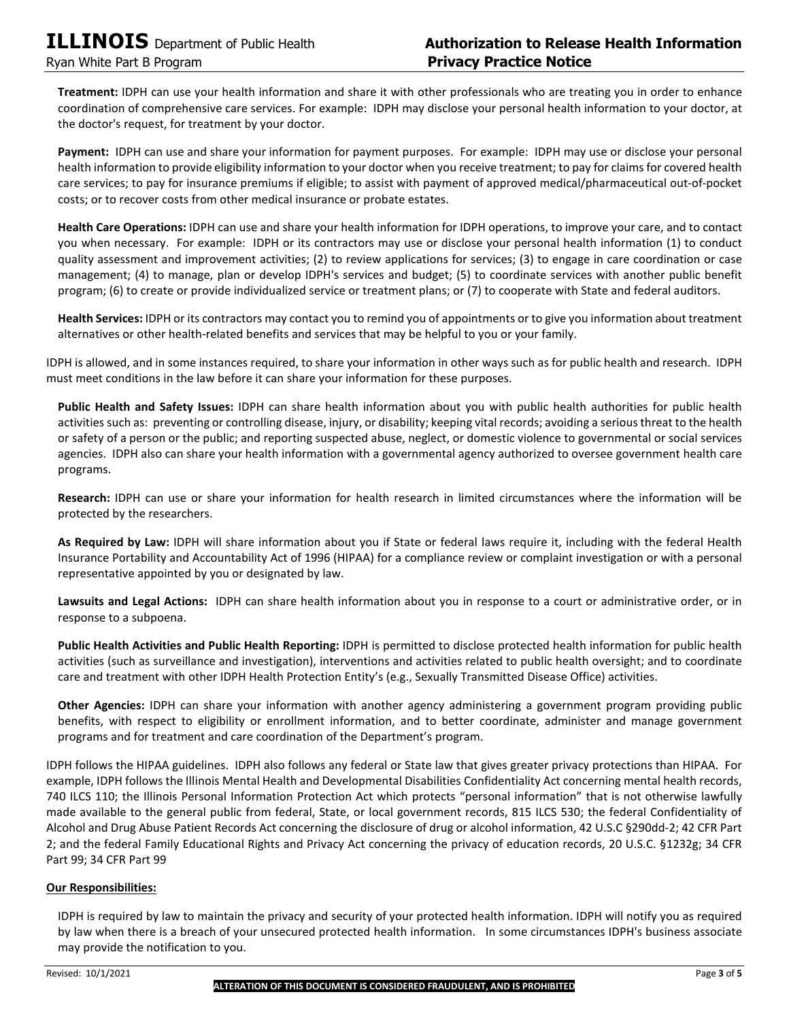**Treatment:** IDPH can use your health information and share it with other professionals who are treating you in order to enhance coordination of comprehensive care services. For example: IDPH may disclose your personal health information to your doctor, at the doctor's request, for treatment by your doctor.

**Payment:** IDPH can use and share your information for payment purposes. For example: IDPH may use or disclose your personal health information to provide eligibility information to your doctor when you receive treatment; to pay for claims for covered health care services; to pay for insurance premiums if eligible; to assist with payment of approved medical/pharmaceutical out-of-pocket costs; or to recover costs from other medical insurance or probate estates.

**Health Care Operations:** IDPH can use and share your health information for IDPH operations, to improve your care, and to contact you when necessary. For example: IDPH or its contractors may use or disclose your personal health information (1) to conduct quality assessment and improvement activities; (2) to review applications for services; (3) to engage in care coordination or case management; (4) to manage, plan or develop IDPH's services and budget; (5) to coordinate services with another public benefit program; (6) to create or provide individualized service or treatment plans; or (7) to cooperate with State and federal auditors.

**Health Services:** IDPH or its contractors may contact you to remind you of appointments or to give you information about treatment alternatives or other health-related benefits and services that may be helpful to you or your family.

IDPH is allowed, and in some instances required, to share your information in other ways such as for public health and research. IDPH must meet conditions in the law before it can share your information for these purposes.

**Public Health and Safety Issues:** IDPH can share health information about you with public health authorities for public health activities such as: preventing or controlling disease, injury, or disability; keeping vital records; avoiding a serious threat to the health or safety of a person or the public; and reporting suspected abuse, neglect, or domestic violence to governmental or social services agencies. IDPH also can share your health information with a governmental agency authorized to oversee government health care programs.

**Research:** IDPH can use or share your information for health research in limited circumstances where the information will be protected by the researchers.

**As Required by Law:** IDPH will share information about you if State or federal laws require it, including with the federal Health Insurance Portability and Accountability Act of 1996 (HIPAA) for a compliance review or complaint investigation or with a personal representative appointed by you or designated by law.

**Lawsuits and Legal Actions:** IDPH can share health information about you in response to a court or administrative order, or in response to a subpoena.

**Public Health Activities and Public Health Reporting:** IDPH is permitted to disclose protected health information for public health activities (such as surveillance and investigation), interventions and activities related to public health oversight; and to coordinate care and treatment with other IDPH Health Protection Entity's (e.g., Sexually Transmitted Disease Office) activities.

**Other Agencies:** IDPH can share your information with another agency administering a government program providing public benefits, with respect to eligibility or enrollment information, and to better coordinate, administer and manage government programs and for treatment and care coordination of the Department's program.

IDPH follows the HIPAA guidelines. IDPH also follows any federal or State law that gives greater privacy protections than HIPAA. For example, IDPH follows the Illinois Mental Health and Developmental Disabilities Confidentiality Act concerning mental health records, 740 ILCS 110; the Illinois Personal Information Protection Act which protects "personal information" that is not otherwise lawfully made available to the general public from federal, State, or local government records, 815 ILCS 530; the federal Confidentiality of Alcohol and Drug Abuse Patient Records Act concerning the disclosure of drug or alcohol information, 42 U.S.C §290dd-2; 42 CFR Part 2; and the federal Family Educational Rights and Privacy Act concerning the privacy of education records, 20 U.S.C. §1232g; 34 CFR Part 99; 34 CFR Part 99

# **Our Responsibilities:**

IDPH is required by law to maintain the privacy and security of your protected health information. IDPH will notify you as required by law when there is a breach of your unsecured protected health information. In some circumstances IDPH's business associate may provide the notification to you.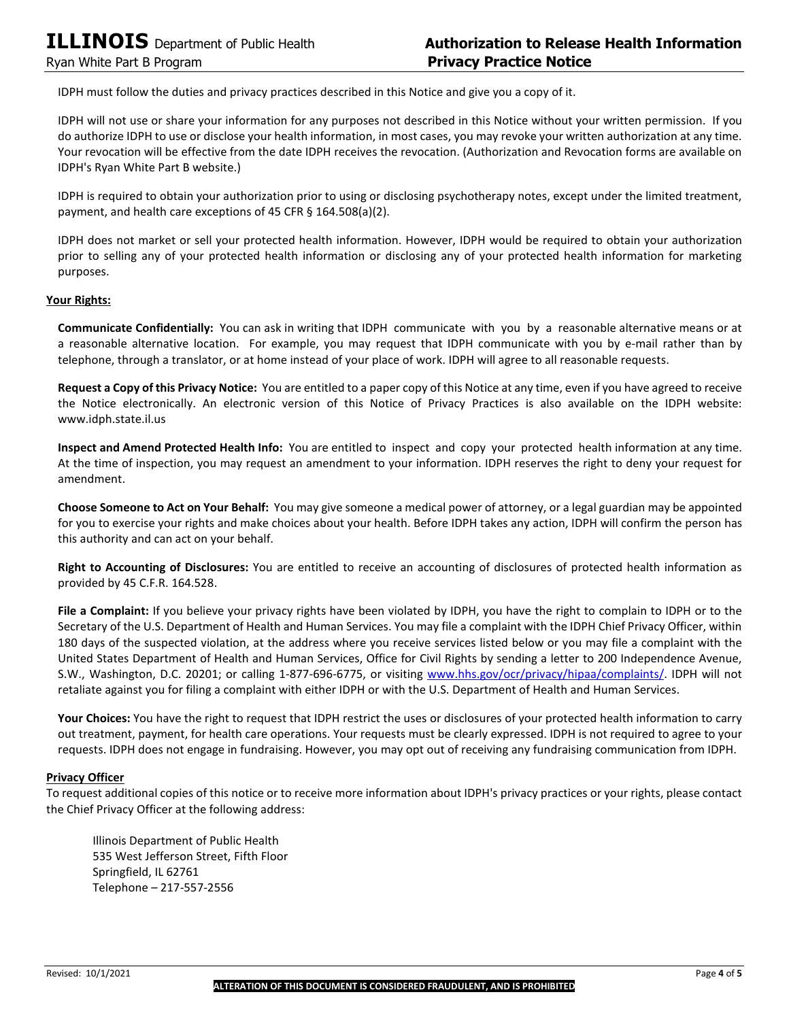IDPH must follow the duties and privacy practices described in this Notice and give you a copy of it.

IDPH will not use or share your information for any purposes not described in this Notice without your written permission. If you do authorize IDPH to use or disclose your health information, in most cases, you may revoke your written authorization at any time. Your revocation will be effective from the date IDPH receives the revocation. (Authorization and Revocation forms are available on IDPH's Ryan White Part B website.)

IDPH is required to obtain your authorization prior to using or disclosing psychotherapy notes, except under the limited treatment, payment, and health care exceptions of 45 CFR § 164.508(a)(2).

IDPH does not market or sell your protected health information. However, IDPH would be required to obtain your authorization prior to selling any of your protected health information or disclosing any of your protected health information for marketing purposes.

## **Your Rights:**

**Communicate Confidentially:** You can ask in writing that IDPH communicate with you by a reasonable alternative means or at a reasonable alternative location. For example, you may request that IDPH communicate with you by e-mail rather than by telephone, through a translator, or at home instead of your place of work. IDPH will agree to all reasonable requests.

**Request a Copy of this Privacy Notice:** You are entitled to a paper copy of this Notice at any time, even if you have agreed to receive the Notice electronically. An electronic version of this Notice of Privacy Practices is also available on the IDPH website: www.idph.state.il.us

**Inspect and Amend Protected Health Info:** You are entitled to inspect and copy your protected health information at any time. At the time of inspection, you may request an amendment to your information. IDPH reserves the right to deny your request for amendment.

**Choose Someone to Act on Your Behalf:** You may give someone a medical power of attorney, or a legal guardian may be appointed for you to exercise your rights and make choices about your health. Before IDPH takes any action, IDPH will confirm the person has this authority and can act on your behalf.

**Right to Accounting of Disclosures:** You are entitled to receive an accounting of disclosures of protected health information as provided by 45 C.F.R. 164.528.

**File a Complaint:** If you believe your privacy rights have been violated by IDPH, you have the right to complain to IDPH or to the Secretary of the U.S. Department of Health and Human Services. You may file a complaint with the IDPH Chief Privacy Officer, within 180 days of the suspected violation, at the address where you receive services listed below or you may file a complaint with the United States Department of Health and Human Services, Office for Civil Rights by sending a letter to 200 Independence Avenue, S.W., Washington, D.C. 20201; or calling 1-877-696-6775, or visiting [www.hhs.gov/ocr/privacy/hipaa/complaints/.](http://www.hhs.gov/ocr/privacy/hipaa/complaints/) IDPH will not retaliate against you for filing a complaint with either IDPH or with the U.S. Department of Health and Human Services.

**Your Choices:** You have the right to request that IDPH restrict the uses or disclosures of your protected health information to carry out treatment, payment, for health care operations. Your requests must be clearly expressed. IDPH is not required to agree to your requests. IDPH does not engage in fundraising. However, you may opt out of receiving any fundraising communication from IDPH.

### **Privacy Officer**

To request additional copies of this notice or to receive more information about IDPH's privacy practices or your rights, please contact the Chief Privacy Officer at the following address:

Illinois Department of Public Health 535 West Jefferson Street, Fifth Floor Springfield, IL 62761 Telephone – 217-557-2556